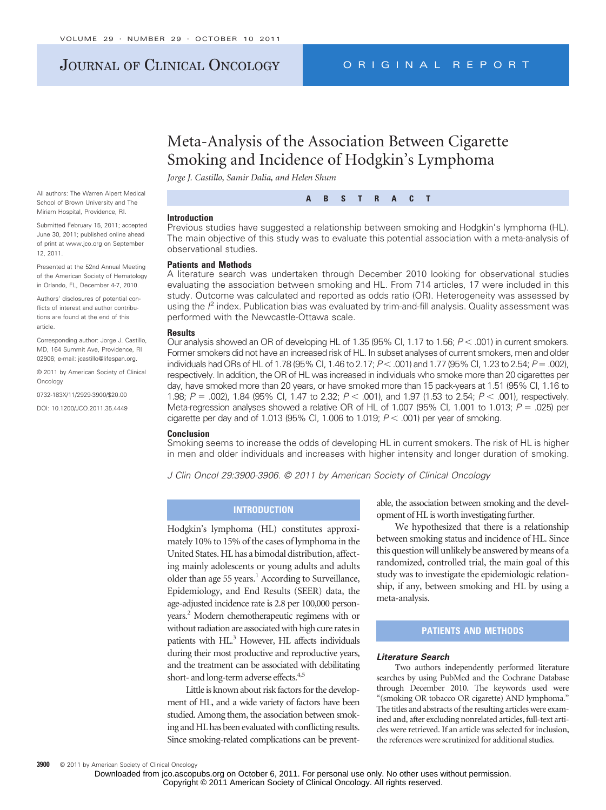# JOURNAL OF CLINICAL ONCOLOGY ORIGINAL REPORT

# Meta-Analysis of the Association Between Cigarette Smoking and Incidence of Hodgkin's Lymphoma

*Jorge J. Castillo, Samir Dalia, and Helen Shum*

All authors: The Warren Alpert Medical School of Brown University and The Miriam Hospital, Providence, RI.

Submitted February 15, 2011; accepted June 30, 2011; published online ahead of print at www.jco.org on September 12, 2011.

Presented at the 52nd Annual Meeting of the American Society of Hematology in Orlando, FL, December 4-7, 2010.

Authors' disclosures of potential conflicts of interest and author contributions are found at the end of this article.

Corresponding author: Jorge J. Castillo, MD, 164 Summit Ave, Providence, RI 02906; e-mail: jcastillo@lifespan.org.

© 2011 by American Society of Clinical **Oncology** 

0732-183X/11/2929-3900/\$20.00

DOI: 10.1200/JCO.2011.35.4449

**ABSTRACT**

#### **Introduction**

Previous studies have suggested a relationship between smoking and Hodgkin's lymphoma (HL). The main objective of this study was to evaluate this potential association with a meta-analysis of observational studies.

#### **Patients and Methods**

A literature search was undertaken through December 2010 looking for observational studies evaluating the association between smoking and HL. From 714 articles, 17 were included in this study. Outcome was calculated and reported as odds ratio (OR). Heterogeneity was assessed by using the *I* <sup>2</sup> index. Publication bias was evaluated by trim-and-fill analysis. Quality assessment was performed with the Newcastle-Ottawa scale.

#### **Results**

Our analysis showed an OR of developing HL of 1.35 (95% CI, 1.17 to 1.56; P < .001) in current smokers. Former smokers did not have an increased risk of HL. In subset analyses of current smokers, men and older individuals had ORs of HL of 1.78 (95% Cl, 1.46 to 2.17;  $P < .001$ ) and 1.77 (95% Cl, 1.23 to 2.54;  $P = .002$ ), respectively. In addition, the OR of HL was increased in individuals who smoke more than 20 cigarettes per day, have smoked more than 20 years, or have smoked more than 15 pack-years at 1.51 (95% CI, 1.16 to 1.98; *P* - .002), 1.84 (95% CI, 1.47 to 2.32; *P* .001), and 1.97 (1.53 to 2.54; *P* .001), respectively. Meta-regression analyses showed a relative OR of HL of 1.007 (95% Cl, 1.001 to 1.013; P = .025) per cigarette per day and of 1.013 (95% CI, 1.006 to 1.019;  $P < .001$ ) per year of smoking.

#### **Conclusion**

Smoking seems to increase the odds of developing HL in current smokers. The risk of HL is higher in men and older individuals and increases with higher intensity and longer duration of smoking.

*J Clin Oncol 29:3900-3906. © 2011 by American Society of Clinical Oncology*

# **INTRODUCTION**

Hodgkin's lymphoma (HL) constitutes approximately 10% to 15% of the cases of lymphoma in the United States. HL has a bimodal distribution, affecting mainly adolescents or young adults and adults older than age 55 years.<sup>1</sup> According to Surveillance, Epidemiology, and End Results (SEER) data, the age-adjusted incidence rate is 2.8 per 100,000 personyears.2 Modern chemotherapeutic regimens with or without radiation are associated with high cure rates in patients with HL.<sup>3</sup> However, HL affects individuals during their most productive and reproductive years, and the treatment can be associated with debilitating short- and long-term adverse effects.<sup>4,5</sup>

Little is known about risk factors for the development of HL, and a wide variety of factors have been studied. Among them, the association between smoking and HL has been evaluated with conflicting results. Since smoking-related complications can be preventable, the association between smoking and the development of HL is worth investigating further.

We hypothesized that there is a relationship between smoking status and incidence of HL. Since this question will unlikely be answered by means of a randomized, controlled trial, the main goal of this study was to investigate the epidemiologic relationship, if any, between smoking and HL by using a meta-analysis.

# **PATIENTS AND METHODS**

#### *Literature Search*

Two authors independently performed literature searches by using PubMed and the Cochrane Database through December 2010. The keywords used were "(smoking OR tobacco OR cigarette) AND lymphoma." The titles and abstracts of the resulting articles were examined and, after excluding nonrelated articles, full-text articles were retrieved. If an article was selected for inclusion, the references were scrutinized for additional studies.

**3900** © 2011 by American Society of Clinical Oncology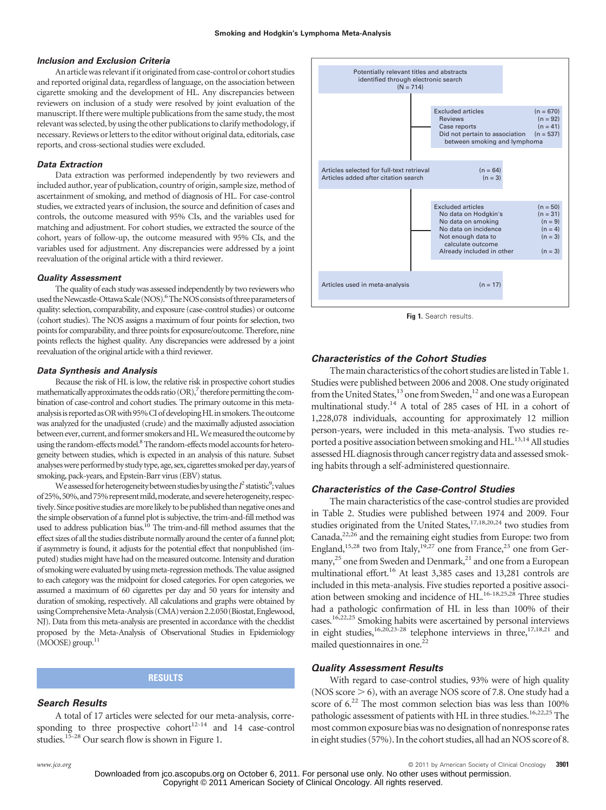#### *Inclusion and Exclusion Criteria*

An article was relevant if it originated from case-control or cohort studies and reported original data, regardless of language, on the association between cigarette smoking and the development of HL. Any discrepancies between reviewers on inclusion of a study were resolved by joint evaluation of the manuscript. If there were multiple publications from the same study, the most relevant was selected, by using the other publications to clarify methodology, if necessary. Reviews or letters to the editor without original data, editorials, case reports, and cross-sectional studies were excluded.

#### *Data Extraction*

Data extraction was performed independently by two reviewers and included author, year of publication, country of origin, sample size, method of ascertainment of smoking, and method of diagnosis of HL. For case-control studies, we extracted years of inclusion, the source and definition of cases and controls, the outcome measured with 95% CIs, and the variables used for matching and adjustment. For cohort studies, we extracted the source of the cohort, years of follow-up, the outcome measured with 95% CIs, and the variables used for adjustment. Any discrepancies were addressed by a joint reevaluation of the original article with a third reviewer.

#### *Quality Assessment*

The quality of each study was assessed independently by two reviewers who used the Newcastle-Ottawa Scale (NOS).<sup>6</sup> The NOS consists of three parameters of quality: selection, comparability, and exposure (case-control studies) or outcome (cohort studies). The NOS assigns a maximum of four points for selection, two points for comparability, and three points for exposure/outcome. Therefore, nine points reflects the highest quality. Any discrepancies were addressed by a joint reevaluation of the original article with a third reviewer.

#### *Data Synthesis and Analysis*

Because the risk of HL is low, the relative risk in prospective cohort studies mathematically approximates the odds ratio (OR),<sup>7</sup> therefore permitting the combination of case-control and cohort studies. The primary outcome in this metaanalysis is reported as OR with 95% CI of developing HL in smokers. The outcome was analyzed for the unadjusted (crude) and the maximally adjusted association between ever, current, and former smokers and HL. We measured the outcome by using the random-effects model.<sup>8</sup> The random-effects model accounts for heterogeneity between studies, which is expected in an analysis of this nature. Subset analyses were performed by study type, age, sex, cigarettes smoked per day, years of smoking, pack-years, and Epstein-Barr virus (EBV) status.

We assessed for heterogeneity between studies by using the  $I^2$  statistic<sup>9</sup>; values of 25%, 50%, and 75% represent mild, moderate, and severe heterogeneity, respectively. Since positive studies are more likely to be published than negative ones and the simple observation of a funnel plot is subjective, the trim-and-fill method was used to address publication bias.<sup>10</sup> The trim-and-fill method assumes that the effect sizes of all the studies distribute normally around the center of a funnel plot; if asymmetry is found, it adjusts for the potential effect that nonpublished (imputed) studies might have had on the measured outcome. Intensity and duration of smoking were evaluated by using meta-regression methods. The value assigned to each category was the midpoint for closed categories. For open categories, we assumed a maximum of 60 cigarettes per day and 50 years for intensity and duration of smoking, respectively. All calculations and graphs were obtained by using Comprehensive Meta-Analysis (CMA) version 2.2.050 (Biostat, Englewood, NJ). Data from this meta-analysis are presented in accordance with the checklist proposed by the Meta-Analysis of Observational Studies in Epidemiology  $(MOOSE)$  group.<sup>1</sup>

### **RESULTS**

### *Search Results*

A total of 17 articles were selected for our meta-analysis, corresponding to three prospective cohort $12-14$  and 14 case-control studies.<sup>15-28</sup> Our search flow is shown in Figure 1.



**Fig 1.** Search results.

#### *Characteristics of the Cohort Studies*

The main characteristics of the cohort studies are listed in Table 1. Studies were published between 2006 and 2008. One study originated from the United States,<sup>13</sup> one from Sweden,<sup>12</sup> and one was a European multinational study.14 A total of 285 cases of HL in a cohort of 1,228,078 individuals, accounting for approximately 12 million person-years, were included in this meta-analysis. Two studies reported a positive association between smoking and  $\rm HL^{13,14}$  All studies assessed HL diagnosis through cancer registry data and assessed smoking habits through a self-administered questionnaire.

#### *Characteristics of the Case-Control Studies*

The main characteristics of the case-control studies are provided in Table 2. Studies were published between 1974 and 2009. Four studies originated from the United States,<sup>17,18,20,24</sup> two studies from Canada,<sup>22,26</sup> and the remaining eight studies from Europe: two from England,<sup>15,28</sup> two from Italy,<sup>19,27</sup> one from France,<sup>23</sup> one from Germany,<sup>25</sup> one from Sweden and Denmark,<sup>21</sup> and one from a European multinational effort.16 At least 3,385 cases and 13,281 controls are included in this meta-analysis. Five studies reported a positive association between smoking and incidence of HL.16-18,25,28 Three studies had a pathologic confirmation of HL in less than 100% of their cases.16,22,25 Smoking habits were ascertained by personal interviews in eight studies,  $^{16,20,23-28}$  telephone interviews in three,  $^{17,18,21}$  and mailed questionnaires in one.<sup>22</sup>

#### *Quality Assessment Results*

With regard to case-control studies, 93% were of high quality (NOS score  $>$  6), with an average NOS score of 7.8. One study had a score of  $6.22$  The most common selection bias was less than 100% pathologic assessment of patients with HL in three studies.<sup>16,22,25</sup> The most common exposure bias was no designation of nonresponse rates in eight studies (57%). In the cohort studies, all had an NOS score of 8.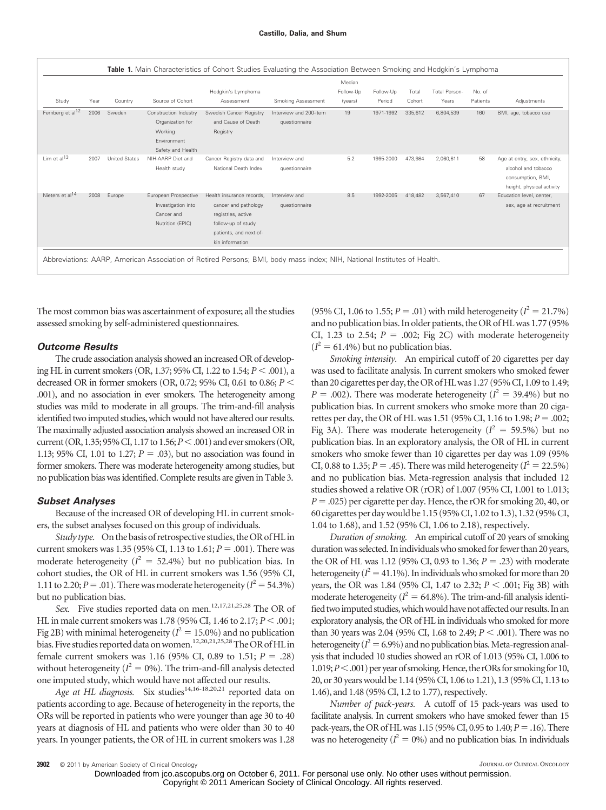|                              |      |                      |                                                                                          |                                                                                                                                            |                                         | Median    |           |         |               |          |                                                                                                        |
|------------------------------|------|----------------------|------------------------------------------------------------------------------------------|--------------------------------------------------------------------------------------------------------------------------------------------|-----------------------------------------|-----------|-----------|---------|---------------|----------|--------------------------------------------------------------------------------------------------------|
|                              |      |                      |                                                                                          | Hodgkin's Lymphoma                                                                                                                         |                                         | Follow-Up | Follow-Up | Total   | Total Person- | No. of   |                                                                                                        |
| Study                        | Year | Country              | Source of Cohort                                                                         | Assessment                                                                                                                                 | Smoking Assessment                      | (years)   | Period    | Cohort  | Years         | Patients | Adjustments                                                                                            |
| Fernberg et al <sup>12</sup> | 2006 | Sweden               | Construction Industry<br>Organization for<br>Working<br>Environment<br>Safety and Health | Swedish Cancer Registry<br>and Cause of Death<br>Registry                                                                                  | Interview and 200-item<br>questionnaire | 19        | 1971-1992 | 335,612 | 6.804.539     | 160      | BMI, age, tobacco use                                                                                  |
| Lim et al $^{13}$            | 2007 | <b>United States</b> | NIH-AARP Diet and<br>Health study                                                        | Cancer Registry data and<br>National Death Index                                                                                           | Interview and<br>questionnaire          | 5.2       | 1995-2000 | 473,984 | 2,060,611     | 58       | Age at entry, sex, ethnicity,<br>alcohol and tobacco<br>consumption, BMI,<br>height, physical activity |
| Nieters et al <sup>14</sup>  | 2008 | Europe               | European Prospective<br>Investigation into<br>Cancer and<br>Nutrition (EPIC)             | Health insurance records.<br>cancer and pathology<br>registries, active<br>follow-up of study<br>patients, and next-of-<br>kin information | Interview and<br>questionnaire          | 8.5       | 1992-2005 | 418,482 | 3,567,410     | 67       | Education level, center,<br>sex, age at recruitment                                                    |

The most common bias was ascertainment of exposure; all the studies assessed smoking by self-administered questionnaires.

### *Outcome Results*

The crude association analysis showed an increased OR of developing HL in current smokers (OR, 1.37; 95% CI, 1.22 to 1.54;  $P < .001$ ), a decreased OR in former smokers (OR, 0.72; 95% CI, 0.61 to 0.86; *P* .001), and no association in ever smokers. The heterogeneity among studies was mild to moderate in all groups. The trim-and-fill analysis identified two imputed studies, which would not have altered our results. The maximally adjusted association analysis showed an increased OR in current (OR, 1.35; 95% CI, 1.17 to 1.56;  $P < .001$ ) and ever smokers (OR, 1.13; 95% CI, 1.01 to 1.27;  $P = .03$ ), but no association was found in former smokers. There was moderate heterogeneity among studies, but no publication bias was identified. Complete results are given in Table 3.

#### *Subset Analyses*

Because of the increased OR of developing HL in current smokers, the subset analyses focused on this group of individuals.

*Studytype.* On the basis of retrospective studies, the OR of HL in current smokers was 1.35 (95% CI, 1.13 to 1.61;  $P = .001$ ). There was moderate heterogeneity ( $I^2 = 52.4\%$ ) but no publication bias. In cohort studies, the OR of HL in current smokers was 1.56 (95% CI, 1.11 to 2.20;  $P = .01$ ). There was moderate heterogeneity ( $I^2 = 54.3\%$ ) but no publication bias.

Sex. Five studies reported data on men.<sup>12,17,21,25,28</sup> The OR of HL in male current smokers was 1.78 (95% CI, 1.46 to 2.17; *P* < .001; Fig 2B) with minimal heterogeneity ( $I^2 = 15.0\%$ ) and no publication bias. Five studies reported data on women.<sup>12,20,21,25,28</sup> The OR of HL in female current smokers was 1.16 (95% CI, 0.89 to 1.51;  $P = .28$ ) without heterogeneity ( $I^2 = 0$ %). The trim-and-fill analysis detected one imputed study, which would have not affected our results.

Age at HL diagnosis. Six studies<sup>14,16-18,20,21</sup> reported data on patients according to age. Because of heterogeneity in the reports, the ORs will be reported in patients who were younger than age 30 to 40 years at diagnosis of HL and patients who were older than 30 to 40 years. In younger patients, the OR of HL in current smokers was 1.28

(95% CI, 1.06 to 1.55;  $P = .01$ ) with mild heterogeneity ( $I^2 = 21.7$ %) and no publication bias. In older patients, the OR of HL was 1.77 (95% CI, 1.23 to 2.54;  $P = .002$ ; Fig 2C) with moderate heterogeneity  $(I^2 = 61.4\%)$  but no publication bias.

*Smoking intensity.* An empirical cutoff of 20 cigarettes per day was used to facilitate analysis. In current smokers who smoked fewer than 20 cigarettes per day, the OR of HL was 1.27 (95% CI, 1.09 to 1.49;  $P = .002$ ). There was moderate heterogeneity ( $I^2 = 39.4\%$ ) but no publication bias. In current smokers who smoke more than 20 cigarettes per day, the OR of HL was  $1.51$  (95% CI,  $1.16$  to  $1.98; P = .002;$ Fig 3A). There was moderate heterogeneity ( $I^2 = 59.5\%$ ) but no publication bias. In an exploratory analysis, the OR of HL in current smokers who smoke fewer than 10 cigarettes per day was 1.09 (95% CI, 0.88 to 1.35;  $P = .45$ ). There was mild heterogeneity ( $I^2 = 22.5\%$ ) and no publication bias. Meta-regression analysis that included 12 studies showed a relative OR (rOR) of 1.007 (95% CI, 1.001 to 1.013; *P* - .025) per cigarette per day. Hence, the rOR for smoking 20, 40, or 60 cigarettes per day would be 1.15 (95% CI, 1.02 to 1.3), 1.32 (95% CI, 1.04 to 1.68), and 1.52 (95% CI, 1.06 to 2.18), respectively.

*Duration of smoking.* An empirical cutoff of 20 years of smoking duration was selected. In individuals who smoked for fewer than 20 years, the OR of HL was 1.12 (95% CI, 0.93 to 1.36;  $P = .23$ ) with moderate heterogeneity ( $I^2 = 41.1\%$ ). In individuals who smoked for more than 20 years, the OR was 1.84 (95% CI, 1.47 to 2.32;  $P < .001$ ; Fig 3B) with moderate heterogeneity ( $I^2 = 64.8$ %). The trim-and-fill analysis identified two imputed studies, which would have not affected our results. In an exploratory analysis, the OR of HL in individuals who smoked for more than 30 years was 2.04 (95% CI, 1.68 to 2.49;  $P < .001$ ). There was no heterogeneity  $(I^2 = 6.9\%)$  and no publication bias. Meta-regression analysis that included 10 studies showed an rOR of 1.013 (95% CI, 1.006 to 1.019;  $P < .001$ ) per year of smoking. Hence, the rORs for smoking for 10, 20, or 30 years would be 1.14 (95% CI, 1.06 to 1.21), 1.3 (95% CI, 1.13 to 1.46), and 1.48 (95% CI, 1.2 to 1.77), respectively.

*Number of pack-years.* A cutoff of 15 pack-years was used to facilitate analysis. In current smokers who have smoked fewer than 15 pack-years, the OR of HL was 1.15 (95% CI, 0.95 to 1.40; *P*-.16). There was no heterogeneity  $(I^2 = 0\%)$  and no publication bias. In individuals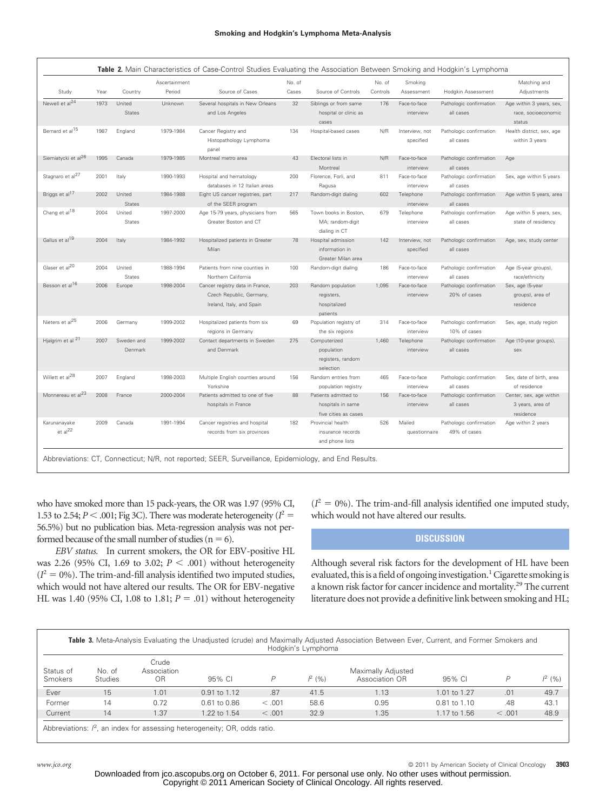| Study                               | Year | Country                 | Ascertainment<br>Period | Source of Cases                                                                          | No. of<br>Cases | Source of Controls                                                | No. of<br>Controls | Smoking<br>Assessment       | Hodgkin Assessment                      | Matching and<br>Adjustments                               |
|-------------------------------------|------|-------------------------|-------------------------|------------------------------------------------------------------------------------------|-----------------|-------------------------------------------------------------------|--------------------|-----------------------------|-----------------------------------------|-----------------------------------------------------------|
| Newell et al <sup>24</sup>          | 1973 | United<br><b>States</b> | Unknown                 | Several hospitals in New Orleans<br>and Los Angeles                                      | 32              | Siblings or from same<br>hospital or clinic as<br>cases           | 176                | Face-to-face<br>interview   | Pathologic confirmation<br>all cases    | Age within 3 years, sex,<br>race, socioeconomic<br>status |
| Bernard et al <sup>15</sup>         | 1987 | England                 | 1979-1984               | Cancer Registry and<br>Histopathology Lymphoma<br>panel                                  | 134             | Hospital-based cases                                              | N/R                | Interview, not<br>specified | Pathologic confirmation<br>all cases    | Health district, sex, age<br>within 3 years               |
| Siemiatycki et al <sup>26</sup>     | 1995 | Canada                  | 1979-1985               | Montreal metro area                                                                      | 43              | Electoral lists in<br>Montreal                                    | N/R                | Face-to-face<br>interview   | Pathologic confirmation<br>all cases    | Age                                                       |
| Stagnaro et al <sup>27</sup>        | 2001 | Italy                   | 1990-1993               | Hospital and hematology<br>databases in 12 Italian areas                                 | 200             | Florence, Forli, and<br>Ragusa                                    | 811                | Face-to-face<br>interview   | Pathologic confirmation<br>all cases    | Sex, age within 5 years                                   |
| Briggs et al <sup>17</sup>          | 2002 | United<br><b>States</b> | 1984-1988               | Eight US cancer registries, part<br>of the SEER program                                  | 217             | Random-digit dialing                                              | 602                | Telephone<br>interview      | Pathologic confirmation<br>all cases    | Age within 5 years, area                                  |
| Chang et al <sup>18</sup>           | 2004 | United<br><b>States</b> | 1997-2000               | Age 15-79 years, physicians from<br>Greater Boston and CT                                | 565             | Town books in Boston,<br>MA; random-digit<br>dialing in CT        | 679                | Telephone<br>interview      | Pathologic confirmation<br>all cases    | Age within 5 years, sex,<br>state of residency            |
| Gallus et al <sup>19</sup>          | 2004 | Italy                   | 1984-1992               | Hospitalized patients in Greater<br>Milan                                                | 78              | Hospital admission<br>information in<br>Greater Milan area        | 142                | Interview, not<br>specified | Pathologic confirmation<br>all cases    | Age, sex, study center                                    |
| Glaser et al <sup>20</sup>          | 2004 | United<br>States        | 1988-1994               | Patients from nine counties in<br>Northern California                                    | 100             | Random-digit dialing                                              | 186                | Face-to-face<br>interview   | Pathologic confirmation<br>all cases    | Age (5-year groups),<br>race/ethnicity                    |
| Besson et al <sup>16</sup>          | 2006 | Europe                  | 1998-2004               | Cancer registry data in France,<br>Czech Republic, Germany,<br>Ireland, Italy, and Spain | 203             | Random population<br>registers,<br>hospitalized<br>patients       | 1,095              | Face-to-face<br>interview   | Pathologic confirmation<br>20% of cases | Sex, age (5-year<br>groups), area of<br>residence         |
| Nieters et al <sup>25</sup>         | 2006 | Germany                 | 1999-2002               | Hospitalized patients from six<br>regions in Germany                                     | 69              | Population registry of<br>the six regions                         | 314                | Face-to-face<br>interview   | Pathologic confirmation<br>10% of cases | Sex, age, study region                                    |
| Hjalgrim et al <sup>21</sup>        | 2007 | Sweden and<br>Denmark   | 1999-2002               | Contact departments in Sweden<br>and Denmark                                             | 275             | Computerized<br>population<br>registers, random<br>selection      | 1,460              | Telephone<br>interview      | Pathologic confirmation<br>all cases    | Age (10-year groups),<br>sex                              |
| Willett et al <sup>28</sup>         | 2007 | England                 | 1998-2003               | Multiple English counties around<br>Yorkshire                                            | 156             | Random entries from<br>population registry                        | 465                | Face-to-face<br>interview   | Pathologic confirmation<br>all cases    | Sex, date of birth, area<br>of residence                  |
| Monnereau et al <sup>23</sup>       | 2008 | France                  | 2000-2004               | Patients admitted to one of five<br>hospitals in France                                  | 88              | Patients admitted to<br>hospitals in same<br>five cities as cases | 156                | Face-to-face<br>interview   | Pathologic confirmation<br>all cases    | Center, sex, age within<br>3 years, area of<br>residence  |
| Karunanayake<br>et al <sup>22</sup> | 2009 | Canada                  | 1991-1994               | Cancer registries and hospital<br>records from six provinces                             | 182             | Provincial health<br>insurance records<br>and phone lists         | 526                | Mailed<br>questionnaire     | Pathologic confirmation<br>49% of cases | Age within 2 years                                        |

Abbreviations: CT, Connecticut; N/R, not reported; SEER, Surveillance, Epidemiology, and End Results.

who have smoked more than 15 pack-years, the OR was 1.97 (95% CI, 1.53 to 2.54;  $P <$  .001; Fig 3C). There was moderate heterogeneity ( $I^2 =$ 56.5%) but no publication bias. Meta-regression analysis was not performed because of the small number of studies  $(n = 6)$ .

*EBV status.* In current smokers, the OR for EBV-positive HL was 2.26 (95% CI, 1.69 to 3.02;  $P < .001$ ) without heterogeneity  $(I^2 = 0\%)$ . The trim-and-fill analysis identified two imputed studies, which would not have altered our results. The OR for EBV-negative HL was 1.40 (95% CI, 1.08 to 1.81;  $P = .01$ ) without heterogeneity

 $(I^2 = 0\%)$ . The trim-and-fill analysis identified one imputed study, which would not have altered our results.

## **DISCUSSION**

Although several risk factors for the development of HL have been evaluated, this is a field of ongoing investigation.<sup>1</sup> Cigarette smoking is a known risk factor for cancer incidence and mortality.29 The current literature does not provide a definitive link between smoking and HL;

| Status of<br><b>Smokers</b> | No. of<br><b>Studies</b> | Crude<br>Association<br>OR | 95% CI           | $\mathsf{P}$ | $\beta$ (%) | Maximally Adjusted<br>Association OR | 95% CI           | $\overline{P}$ | $1^2$ (%) |
|-----------------------------|--------------------------|----------------------------|------------------|--------------|-------------|--------------------------------------|------------------|----------------|-----------|
| Ever                        | 15                       | 1.01                       | $0.91$ to $1.12$ | .87          | 41.5        | 1.13                                 | 1.01 to 1.27     | .01            | 49.7      |
| Former                      | 14                       | 0.72                       | $0.61$ to $0.86$ | < .001       | 58.6        | 0.95                                 | $0.81$ to $1.10$ | .48            | 43.1      |
| Current                     | 14                       | 1.37                       | 1.22 to 1.54     | < .001       | 32.9        | 1.35                                 | 1.17 to 1.56     | < 0.001        | 48.9      |

*www.jco.org* © 2011 by American Society of Clinical Oncology **3903**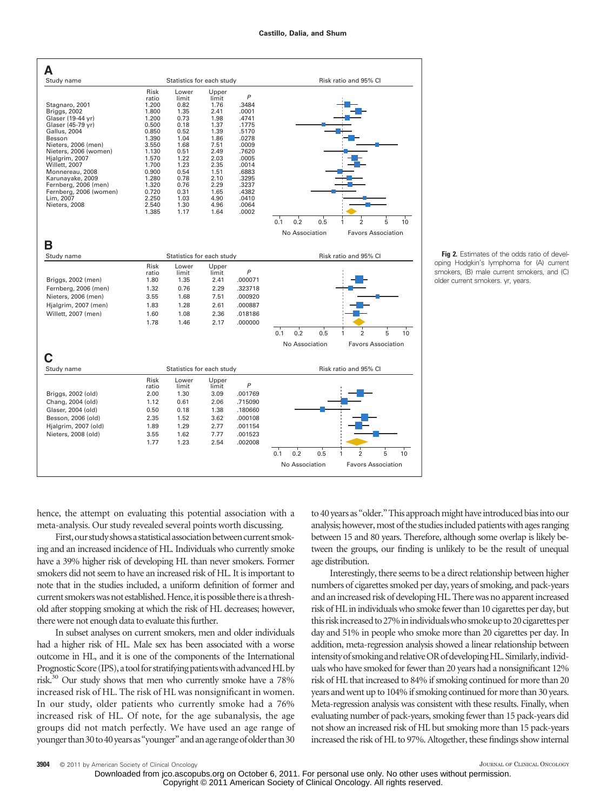| Α                                                                                                                                                                                                                                                                                                                   |                                                                                                                                                                        |                                                                                                                                                        |                                                                                                                                                        |                                                                                                                                                                         |     |                       |     |                       |                                             |   |    |  |
|---------------------------------------------------------------------------------------------------------------------------------------------------------------------------------------------------------------------------------------------------------------------------------------------------------------------|------------------------------------------------------------------------------------------------------------------------------------------------------------------------|--------------------------------------------------------------------------------------------------------------------------------------------------------|--------------------------------------------------------------------------------------------------------------------------------------------------------|-------------------------------------------------------------------------------------------------------------------------------------------------------------------------|-----|-----------------------|-----|-----------------------|---------------------------------------------|---|----|--|
| Study name                                                                                                                                                                                                                                                                                                          |                                                                                                                                                                        | Statistics for each study                                                                                                                              |                                                                                                                                                        |                                                                                                                                                                         |     |                       |     | Risk ratio and 95% Cl |                                             |   |    |  |
| Stagnaro, 2001<br>Briggs, 2002<br>Glaser (19-44 yr)<br>Glaser (45-79 yr)<br><b>Gallus, 2004</b><br>Besson<br>Nieters, 2006 (men)<br>Nieters, 2006 (women)<br>Hjalgrim, 2007<br>Willett, 2007<br>Monnereau, 2008<br>Karunayake, 2009<br>Fernberg, 2006 (men)<br>Fernberg, 2006 (women)<br>Lim, 2007<br>Nieters, 2008 | Risk<br>ratio<br>1.200<br>1.800<br>1.200<br>0.500<br>0.850<br>1.390<br>3.550<br>1.130<br>1.570<br>1.700<br>0.900<br>1.280<br>1.320<br>0.720<br>2.250<br>2.540<br>1.385 | Lower<br>limit<br>0.82<br>1.35<br>0.73<br>0.18<br>0.52<br>1.04<br>1.68<br>0.51<br>1.22<br>1.23<br>0.54<br>0.78<br>0.76<br>0.31<br>1.03<br>1.30<br>1.17 | Upper<br>limit<br>1.76<br>2.41<br>1.98<br>1.37<br>1.39<br>1.86<br>7.51<br>2.49<br>2.03<br>2.35<br>1.51<br>2.10<br>2.29<br>1.65<br>4.90<br>4.96<br>1.64 | $\overline{P}$<br>.3484<br>.0001<br>.4741<br>.1775<br>.5170<br>.0278<br>.0009<br>.7620<br>.0005<br>.0014<br>.6883<br>.3295<br>.3237<br>.4382<br>.0410<br>.0064<br>.0002 | 0.1 | 0.2                   | 0.5 | $\overline{2}$        |                                             | 5 | 10 |  |
|                                                                                                                                                                                                                                                                                                                     |                                                                                                                                                                        |                                                                                                                                                        |                                                                                                                                                        |                                                                                                                                                                         |     | No Association        |     |                       | <b>Favors Association</b>                   |   |    |  |
| в                                                                                                                                                                                                                                                                                                                   |                                                                                                                                                                        |                                                                                                                                                        |                                                                                                                                                        |                                                                                                                                                                         |     |                       |     |                       |                                             |   |    |  |
| Study name                                                                                                                                                                                                                                                                                                          | Statistics for each study                                                                                                                                              |                                                                                                                                                        |                                                                                                                                                        |                                                                                                                                                                         |     | Risk ratio and 95% CI |     |                       |                                             |   |    |  |
| Briggs, 2002 (men)<br>Fernberg, 2006 (men)<br>Nieters, 2006 (men)<br>Hjalgrim, 2007 (men)<br>Willett, 2007 (men)                                                                                                                                                                                                    | Risk<br>ratio<br>1.80<br>1.32<br>3.55<br>1.83<br>1.60<br>1.78                                                                                                          | Lower<br>limit<br>1.35<br>0.76<br>1.68<br>1.28<br>1.08<br>1.46                                                                                         | Upper<br>limit<br>2.41<br>2.29<br>7.51<br>2.61<br>2.36<br>2.17                                                                                         | $\mathsf{P}$<br>.000071<br>.323718<br>.000920<br>.000887<br>.018186<br>.000000                                                                                          | 0.1 | 0.2<br>No Association | 0.5 | 1                     | $\overline{2}$<br><b>Favors Association</b> | 5 | 10 |  |
|                                                                                                                                                                                                                                                                                                                     |                                                                                                                                                                        |                                                                                                                                                        |                                                                                                                                                        |                                                                                                                                                                         |     |                       |     |                       |                                             |   |    |  |
| C<br>Study name                                                                                                                                                                                                                                                                                                     |                                                                                                                                                                        | Statistics for each study                                                                                                                              |                                                                                                                                                        |                                                                                                                                                                         |     |                       |     | Risk ratio and 95% CI |                                             |   |    |  |
| Briggs, 2002 (old)<br>Chang, 2004 (old)<br>Glaser, 2004 (old)<br>Besson, 2006 (old)<br>Hjalgrim, 2007 (old)<br>Nieters, 2008 (old)                                                                                                                                                                                  | Risk<br>ratio<br>2.00<br>1.12<br>0.50<br>2.35<br>1.89<br>3.55<br>1.77                                                                                                  | Lower<br>limit<br>1.30<br>0.61<br>0.18<br>1.52<br>1.29<br>1.62<br>1.23                                                                                 | Upper<br>limit<br>3.09<br>2.06<br>1.38<br>3.62<br>2.77<br>7.77<br>2.54                                                                                 | P<br>.001769<br>.715090<br>.180660<br>.000108<br>.001154<br>.001523<br>.002008                                                                                          | 0.1 | 0.2<br>No Association | 0.5 | $\overline{2}$<br>1   | <b>Favors Association</b>                   | 5 | 10 |  |

**Fig 2.** Estimates of the odds ratio of developing Hodgkin's lymphoma for (A) current smokers, (B) male current smokers, and (C) older current smokers. yr, years.

hence, the attempt on evaluating this potential association with a meta-analysis. Our study revealed several points worth discussing.

First, our study shows a statistical association between current smoking and an increased incidence of HL. Individuals who currently smoke have a 39% higher risk of developing HL than never smokers. Former smokers did not seem to have an increased risk of HL. It is important to note that in the studies included, a uniform definition of former and current smokers was not established. Hence, it is possible there is a threshold after stopping smoking at which the risk of HL decreases; however, there were not enough data to evaluate this further.

In subset analyses on current smokers, men and older individuals had a higher risk of HL. Male sex has been associated with a worse outcome in HL, and it is one of the components of the International Prognostic Score (IPS), a tool for stratifying patients with advanced HL by risk.30 Our study shows that men who currently smoke have a 78% increased risk of HL. The risk of HL was nonsignificant in women. In our study, older patients who currently smoke had a 76% increased risk of HL. Of note, for the age subanalysis, the age groups did not match perfectly. We have used an age range of younger than 30 to 40 years as "younger" and an age range of older than 30 to 40 years as "older." This approach might have introduced bias into our analysis; however, most of the studies included patients with ages ranging between 15 and 80 years. Therefore, although some overlap is likely between the groups, our finding is unlikely to be the result of unequal age distribution.

Interestingly, there seems to be a direct relationship between higher numbers of cigarettes smoked per day, years of smoking, and pack-years and an increased risk of developing HL. There was no apparent increased risk of HL in individuals who smoke fewer than 10 cigarettes per day, but this risk increased to 27% in individuals who smoke up to 20 cigarettes per day and 51% in people who smoke more than 20 cigarettes per day. In addition, meta-regression analysis showed a linear relationship between intensity of smoking and relative OR of developing HL. Similarly, individuals who have smoked for fewer than 20 years had a nonsignificant 12% risk of HL that increased to 84% if smoking continued for more than 20 years and went up to 104% if smoking continued for more than 30 years. Meta-regression analysis was consistent with these results. Finally, when evaluating number of pack-years, smoking fewer than 15 pack-years did not show an increased risk of HL but smoking more than 15 pack-years increased the risk of HL to 97%. Altogether, these findings show internal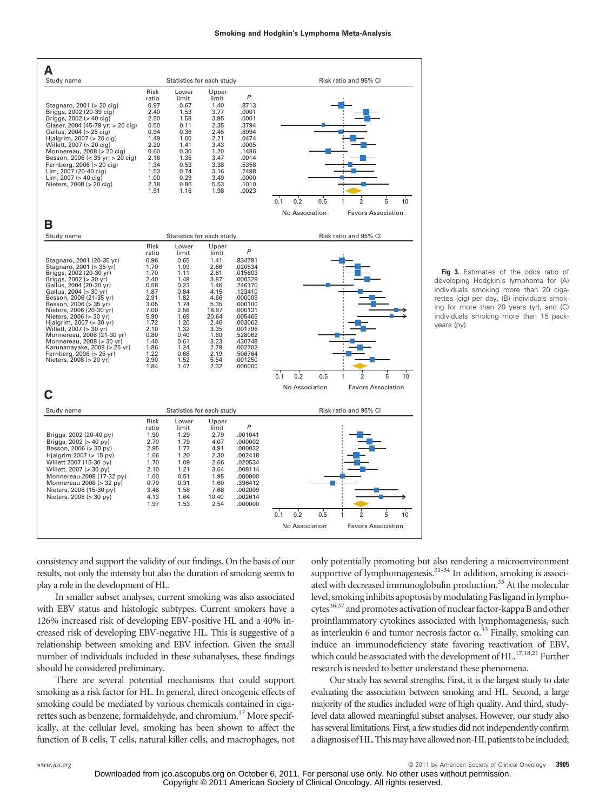

**Fig 3.** Estimates of the odds ratio of developing Hodgkin's lymphoma for (A) individuals smoking more than 20 cigarettes (cig) per day, (B) individuals smoking for more than 20 years (yr), and (C) individuals smoking more than 15 packyears (py).

consistency and support the validity of our findings. On the basis of our results, not only the intensity but also the duration of smoking seems to play a role in the development of HL.

In smaller subset analyses, current smoking was also associated with EBV status and histologic subtypes. Current smokers have a 126% increased risk of developing EBV-positive HL and a 40% increased risk of developing EBV-negative HL. This is suggestive of a relationship between smoking and EBV infection. Given the small number of individuals included in these subanalyses, these findings should be considered preliminary.

There are several potential mechanisms that could support smoking as a risk factor for HL. In general, direct oncogenic effects of smoking could be mediated by various chemicals contained in cigarettes such as benzene, formaldehyde, and chromium.<sup>17</sup> More specifically, at the cellular level, smoking has been shown to affect the function of B cells, T cells, natural killer cells, and macrophages, not only potentially promoting but also rendering a microenvironment supportive of lymphomagenesis.<sup>31-34</sup> In addition, smoking is associated with decreased immunoglobulin production.<sup>35</sup> At the molecular level, smoking inhibits apoptosis by modulating Fas ligand in lymphocytes<sup>36,37</sup> and promotes activation of nuclear factor-kappa B and other proinflammatory cytokines associated with lymphomagenesis, such as interleukin 6 and tumor necrosis factor  $\alpha$ .<sup>33</sup> Finally, smoking can induce an immunodeficiency state favoring reactivation of EBV, which could be associated with the development of HL.<sup>17,18,21</sup> Further research is needed to better understand these phenomena.

Our study has several strengths. First, it is the largest study to date evaluating the association between smoking and HL. Second, a large majority of the studies included were of high quality. And third, studylevel data allowed meaningful subset analyses. However, our study also has several limitations. First, a few studies did not independently confirm a diagnosis of HL. This may have allowed non-HL patients to be included;